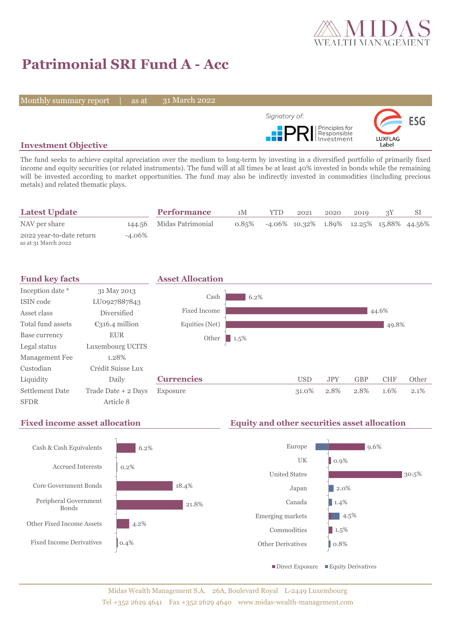

# **Patrimonial SRI Fund A - Acc**

Monthly summary report | as at

31 March 2022



## **Investment Objective**

The fund seeks to achieve capital apreciation over the medium to long-term by investing in a diversified portfolio of primarily fixed income and equity securities (or related instruments). The fund will at all times be at least 40% invested in bonds while the remaining will be invested according to market opportunities. The fund may also be indirectly invested in commodities (including precious metals) and related thematic plays.

| <b>Latest Update</b>                            |           | <b>Performance</b>       | 1M       | YTD. | 2021 | 2020 | 2019                                             |  |
|-------------------------------------------------|-----------|--------------------------|----------|------|------|------|--------------------------------------------------|--|
| NAV per share                                   |           | 144.56 Midas Patrimonial | $0.85\%$ |      |      |      | $-4.06\%$ 10.32\% 1.89\% 12.25\% 15.88\% 44.56\% |  |
| 2022 year-to-date return<br>as at 31 March 2022 | $-4.06\%$ |                          |          |      |      |      |                                                  |  |



## **Fixed income asset allocation Equity and other securities asset allocation**

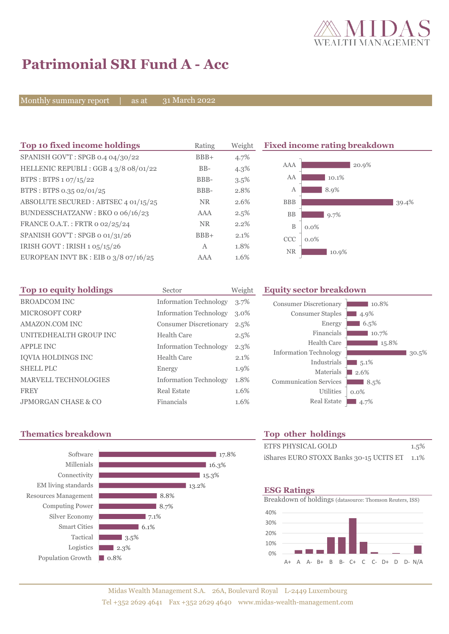

# **Patrimonial SRI Fund A - Acc**

Monthly summary report | as at

31 March 2022

| Top 10 fixed income holdings          | Rating       | Weight  | <b>Fixed income rating breakdown</b> |
|---------------------------------------|--------------|---------|--------------------------------------|
| SPANISH GOV'T: SPGB 0.4 04/30/22      | $BBB+$       | 4.7%    |                                      |
| HELLENIC REPUBLI : GGB 4 3/8 08/01/22 | $BB-$        | $4.3\%$ | AAA<br>20.9%                         |
| BTPS: BTPS 1 07/15/22                 | BBB-         | 3.5%    | AA<br>10.1%                          |
| BTPS: BTPS 0.35 02/01/25              | BBB-         | 2.8%    | 8.9%<br>А                            |
| ABSOLUTE SECURED: ABTSEC 4 01/15/25   | NR.          | 2.6%    | <b>BBB</b><br>39.4%                  |
| BUNDESSCHATZANW: BKO o 06/16/23       | AAA          | 2.5%    | BB<br>9.7%                           |
| FRANCE O.A.T.: FRTR 0 02/25/24        | NR.          | 2.2%    | B<br>$0.0\%$                         |
| SPANISH GOV'T: SPGB o 01/31/26        | $BBB+$       | 2.1%    | <b>CCC</b><br>$0.0\%$                |
| IRISH GOVT: IRISH 1 05/15/26          | $\mathbf{A}$ | 1.8%    | <b>NR</b>                            |
| EUROPEAN INVT BK : EIB 0 3/8 07/16/25 | AAA          | 1.6%    | 10.9%                                |

| Top 10 equity holdings         | Sector                        | Weight  |
|--------------------------------|-------------------------------|---------|
| <b>BROADCOM INC</b>            | <b>Information Technology</b> | 3.7%    |
| <b>MICROSOFT CORP</b>          | <b>Information Technology</b> | $3.0\%$ |
| AMAZON.COM INC                 | <b>Consumer Discretionary</b> | 2.5%    |
| UNITEDHEALTH GROUP INC         | Health Care                   | 2.5%    |
| <b>APPLE INC</b>               | <b>Information Technology</b> | $2.3\%$ |
| <b>IOVIA HOLDINGS INC</b>      | <b>Health Care</b>            | 2.1%    |
| <b>SHELL PLC</b>               | Energy                        | 1.9%    |
| <b>MARVELL TECHNOLOGIES</b>    | <b>Information Technology</b> | 1.8%    |
| <b>FREY</b>                    | Real Estate                   | 1.6%    |
| <b>JPMORGAN CHASE &amp; CO</b> | Financials                    | 1.6%    |

## **Equity sector breakdown**

| <b>Consumer Discretionary</b><br><b>Consumer Staples</b><br>Energy<br>Financials | 10.8%<br>4.9%<br>6.5%<br>10.7% |       |
|----------------------------------------------------------------------------------|--------------------------------|-------|
| Health Care                                                                      | 15.8%                          |       |
| <b>Information Technology</b>                                                    |                                | 30.5% |
| Industrials                                                                      | 5.1%                           |       |
| Materials                                                                        | 2.6%                           |       |
| <b>Communication Services</b>                                                    | 8.5%                           |       |
| <b>Utilities</b>                                                                 | $0.0\%$                        |       |
| <b>Real Estate</b>                                                               | 4.7%                           |       |

## **Thematics breakdown Top other holdings**



| <b>ETFS PHYSICAL GOLD</b>                    | 1.5% |
|----------------------------------------------|------|
| iShares EURO STOXX Banks 30-15 UCITS ET 1.1% |      |

### **ESG Ratings**

Breakdown of holdings (datasource: Thomson Reuters, ISS)